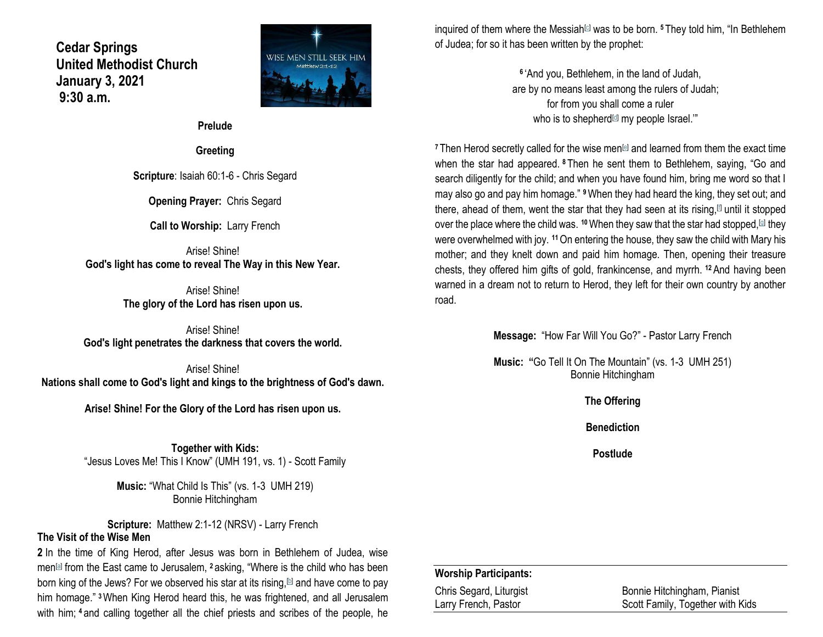**Cedar Springs United Methodist Church January 3, 2021 9:30 a.m.**



**Prelude**

**Greeting**

**Scripture**: Isaiah 60:1-6 - Chris Segard

**Opening Prayer:** Chris Segard

**Call to Worship:** Larry French

Arise! Shine! **God's light has come to reveal The Way in this New Year.**

> Arise! Shine! **The glory of the Lord has risen upon us.**

Arise! Shine! **God's light penetrates the darkness that covers the world.**

Arise! Shine! **Nations shall come to God's light and kings to the brightness of God's dawn.**

**Arise! Shine! For the Glory of the Lord has risen upon us.**

**Together with Kids:** "Jesus Loves Me! This I Know" (UMH 191, vs. 1) - Scott Family

> **Music:** "What Child Is This" (vs. 1-3 UMH 219) Bonnie Hitchingham

**Scripture:** Matthew 2:1-12 (NRSV) - Larry French **The Visit of the Wise Men**

**2** In the time of King Herod, after Jesus was born in Bethlehem of Judea, wise men<sup>[\[a\]](https://www.biblegateway.com/passage/?search=Matthew+2%3A1-12&version=NRSV#fen-NRSV-23171a)</sup> from the East came to Jerusalem, <sup>2</sup> asking, "Where is the child who has been born king of the Jews? For we observed his star at its rising,  $\mathbb{D}$  and have come to pay him homage." **<sup>3</sup>**When King Herod heard this, he was frightened, and all Jerusalem with him; <sup>4</sup> and calling together all the chief priests and scribes of the people, he

inquired of them where the Messiah<sup>[\[c\]](https://www.biblegateway.com/passage/?search=Matthew+2%3A1-12&version=NRSV#fen-NRSV-23174c)</sup> was to be born. <sup>5</sup> They told him, "In Bethlehem of Judea; for so it has been written by the prophet:

> **6** 'And you, Bethlehem, in the land of Judah, are by no means least among the rulers of Judah; for from you shall come a ruler who is to shepherd $d$  my people Israel."

<sup>7</sup> Then Herod secretly called for the wise men<sup>[\[e\]](https://www.biblegateway.com/passage/?search=Matthew+2%3A1-12&version=NRSV#fen-NRSV-23177e)</sup> and learned from them the exact time when the star had appeared. **<sup>8</sup>** Then he sent them to Bethlehem, saying, "Go and search diligently for the child; and when you have found him, bring me word so that I may also go and pay him homage." **<sup>9</sup>**When they had heard the king, they set out; and there, ahead of them, went the star that they had seen at its rising,  $\mathbb I$  until it stopped over the place where the child was. <sup>10</sup> When they saw that the star had stopped,<sup>[\[g\]](https://www.biblegateway.com/passage/?search=Matthew+2%3A1-12&version=NRSV#fen-NRSV-23180g)</sup> they were overwhelmed with joy. **<sup>11</sup>**On entering the house, they saw the child with Mary his mother; and they knelt down and paid him homage. Then, opening their treasure chests, they offered him gifts of gold, frankincense, and myrrh. **<sup>12</sup>**And having been warned in a dream not to return to Herod, they left for their own country by another road.

**Message:** "How Far Will You Go?" - Pastor Larry French

**Music: "**Go Tell It On The Mountain" (vs. 1-3 UMH 251) Bonnie Hitchingham

**The Offering**

**Benediction**

**Postlude**

#### **Worship Participants:**

Chris Segard, Liturgist Bonnie Hitchingham, Pianist Larry French, Pastor Scott Family, Together with Kids